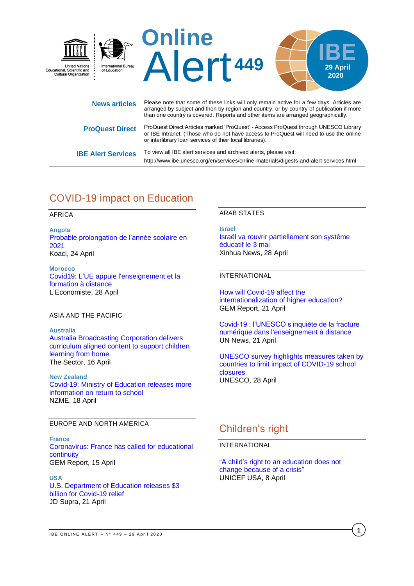

|                           | than one country is covered. Reports and other items are arranged geographically.                                                                                                                                                         |
|---------------------------|-------------------------------------------------------------------------------------------------------------------------------------------------------------------------------------------------------------------------------------------|
| <b>ProQuest Direct</b>    | ProQuest Direct Articles marked 'ProQuest' - Access ProQuest through UNESCO Library<br>or IBE Intranet. (Those who do not have access to ProQuest will need to use the online<br>or interlibrary loan services of their local libraries). |
| <b>IBE Alert Services</b> | To view all IBE alert services and archived alerts, please visit:                                                                                                                                                                         |
|                           | http://www.ibe.unesco.org/en/services/online-materials/digests-and-alert-services.html                                                                                                                                                    |

# COVID-19 impact on Education

AFRICA

**Angola** [Probable prolongation de l'année scolaire en](https://www.koaci.com/article/2020/04/24/angola/societe/angola-probable-prolongation-de-lannee-scolaire-en-2021_140843.html)  [2021](https://www.koaci.com/article/2020/04/24/angola/societe/angola-probable-prolongation-de-lannee-scolaire-en-2021_140843.html) Koaci, 24 April

**Morocco** [Covid19: L'UE appuie l'enseignement et la](https://www.leconomiste.com/flash-infos/covid19-l-ue-appuie-l-enseignement-et-la-formation-distance)  [formation à distance](https://www.leconomiste.com/flash-infos/covid19-l-ue-appuie-l-enseignement-et-la-formation-distance) L'Economiste, 28 April

### ASIA AND THE PACIFIC

**Australia** [Australia Broadcasting Corporation delivers](https://thesector.com.au/2020/04/16/abc-delivers-curriculum-aligned-content-to-support-children-learning-from-home/)  [curriculum aligned content to support children](https://thesector.com.au/2020/04/16/abc-delivers-curriculum-aligned-content-to-support-children-learning-from-home/)  [learning from home](https://thesector.com.au/2020/04/16/abc-delivers-curriculum-aligned-content-to-support-children-learning-from-home/) The Sector, 16 April

**New Zealand** [Covid-19: Ministry of Education releases more](https://www.nzherald.co.nz/nz/news/article.cfm?c_id=1&objectid=12325801)  [information on return to school](https://www.nzherald.co.nz/nz/news/article.cfm?c_id=1&objectid=12325801) NZME, 18 April

### EUROPE AND NORTH AMERICA

**France** [Coronavirus: France has called for educational](https://gemreportunesco.wordpress.com/2020/04/15/coronavirus-france-has-called-for-educational-continuity/)  [continuity](https://gemreportunesco.wordpress.com/2020/04/15/coronavirus-france-has-called-for-educational-continuity/) GEM Report, 15 April

**USA** [U.S. Department of Education releases \\$3](https://www.jdsupra.com/legalnews/u-s-department-of-education-releases-3-18737/)  [billion for Covid-19 relief](https://www.jdsupra.com/legalnews/u-s-department-of-education-releases-3-18737/) JD Supra, 21 April

### ARAB STATES

**Israel** [Israël va rouvrir partiellement son système](http://french.xinhuanet.com/2020-04/28/c_139013121.htm)  [éducatif le 3 mai](http://french.xinhuanet.com/2020-04/28/c_139013121.htm) Xinhua News, 28 April

### INTERNATIONAL

[How will Covid-19 affect the](https://gemreportunesco.wordpress.com/2020/04/21/how-will-covid-19-affect-the-internationalization-of-higher-education/)  [internationalization of higher education?](https://gemreportunesco.wordpress.com/2020/04/21/how-will-covid-19-affect-the-internationalization-of-higher-education/) GEM Report, 21 April

[Covid-19 : l'UNESCO s'inquiète de la fracture](https://news.un.org/fr/story/2020/04/1067162)  [numérique dans l'enseignement à distance](https://news.un.org/fr/story/2020/04/1067162) UN News, 21 April

[UNESCO survey highlights measures taken by](https://en.unesco.org/news/unesco-survey-highlights-measures-taken-countries-limit-impact-covid-19-school-closures)  [countries to limit impact of COVID-19 school](https://en.unesco.org/news/unesco-survey-highlights-measures-taken-countries-limit-impact-covid-19-school-closures)  [closures](https://en.unesco.org/news/unesco-survey-highlights-measures-taken-countries-limit-impact-covid-19-school-closures) UNESCO, 28 April

# Children's right

### INTERNATIONAL

["A child's right to an education does not](https://www.unicefusa.org/stories/childs-right-education-does-not-change-because-crisis/37171)  [change because of a crisis"](https://www.unicefusa.org/stories/childs-right-education-does-not-change-because-crisis/37171) UNICEF USA, 8 April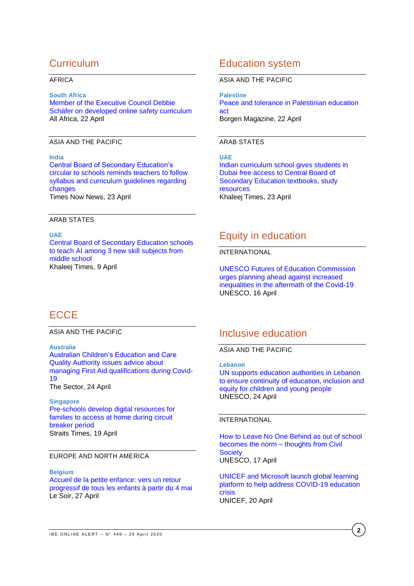### **Curriculum**

### AFRICA

#### **South Africa**

[Member of the Executive Council Debbie](https://allafrica.com/stories/202004220805.html)  [Schäfer on developed online safety curriculum](https://allafrica.com/stories/202004220805.html) All Africa, 22 April

### ASIA AND THE PACIFIC

**India** [Central Board of Secondary Education's](https://www.timesnownews.com/education/article/cbse-s-circular-to-schools-reminds-teachers-to-follow-syllabus-and-curriculum-guidelines-regarding-changes/581915)  [circular to schools reminds teachers to follow](https://www.timesnownews.com/education/article/cbse-s-circular-to-schools-reminds-teachers-to-follow-syllabus-and-curriculum-guidelines-regarding-changes/581915)  [syllabus and curriculum guidelines regarding](https://www.timesnownews.com/education/article/cbse-s-circular-to-schools-reminds-teachers-to-follow-syllabus-and-curriculum-guidelines-regarding-changes/581915)  [changes](https://www.timesnownews.com/education/article/cbse-s-circular-to-schools-reminds-teachers-to-follow-syllabus-and-curriculum-guidelines-regarding-changes/581915) Times Now News, 23 April

### ARAB STATES

### **UAE**

[Central Board of Secondary Education schools](https://www.khaleejtimes.com/news/education/cbse-schools-to-teach-ai-among-3-new-skill-subjects-from-middle-school)  [to teach AI among 3 new skill subjects from](https://www.khaleejtimes.com/news/education/cbse-schools-to-teach-ai-among-3-new-skill-subjects-from-middle-school)  [middle school](https://www.khaleejtimes.com/news/education/cbse-schools-to-teach-ai-among-3-new-skill-subjects-from-middle-school) Khaleej Times, 9 April

### Education system

#### ASIA AND THE PACIFIC

**Palestine** [Peace and tolerance in Palestinian education](https://www.borgenmagazine.com/h-r-2343-peace-and-tolerance-in-palestinian-education-act/)  [act](https://www.borgenmagazine.com/h-r-2343-peace-and-tolerance-in-palestinian-education-act/) Borgen Magazine, 22 April

### ARAB STATES

**UAE** [Indian curriculum school gives students in](https://www.khaleejtimes.com/news/education/indian-curriculum-school-gives-students-in-dubai-free-access-to-cbse-textbooks-study-resources)  [Dubai free access to Central Board of](https://www.khaleejtimes.com/news/education/indian-curriculum-school-gives-students-in-dubai-free-access-to-cbse-textbooks-study-resources)  [Secondary Education textbooks, study](https://www.khaleejtimes.com/news/education/indian-curriculum-school-gives-students-in-dubai-free-access-to-cbse-textbooks-study-resources)  [resources](https://www.khaleejtimes.com/news/education/indian-curriculum-school-gives-students-in-dubai-free-access-to-cbse-textbooks-study-resources) Khaleej Times, 23 April

### Equity in education

#### INTERNATIONAL

[UNESCO Futures of Education Commission](https://en.unesco.org/news/unesco-futures-education-commission-urges-planning-ahead-against-increased-inequalities)  [urges planning ahead against increased](https://en.unesco.org/news/unesco-futures-education-commission-urges-planning-ahead-against-increased-inequalities)  [inequalities in the aftermath of the Covid-19](https://en.unesco.org/news/unesco-futures-education-commission-urges-planning-ahead-against-increased-inequalities) UNESCO, 16 April

# **ECCE**

ASIA AND THE PACIFIC

### **Australia**

[Australian Children's Education and Care](https://thesector.com.au/2020/04/24/acecqa-issues-advice-about-managing-first-aid-qualifications-during-covid-19/)  [Quality Authority issues advice about](https://thesector.com.au/2020/04/24/acecqa-issues-advice-about-managing-first-aid-qualifications-during-covid-19/)  [managing First Aid qualifications during Covid-](https://thesector.com.au/2020/04/24/acecqa-issues-advice-about-managing-first-aid-qualifications-during-covid-19/)[19](https://thesector.com.au/2020/04/24/acecqa-issues-advice-about-managing-first-aid-qualifications-during-covid-19/)

The Sector, 24 April

### **Singapore**

[Pre-schools develop digital resources for](https://www.straitstimes.com/singapore/pre-schools-develop-digital-resources-for-families-to-access-at-home-during-circuit)  [families to access at home during circuit](https://www.straitstimes.com/singapore/pre-schools-develop-digital-resources-for-families-to-access-at-home-during-circuit)  [breaker period](https://www.straitstimes.com/singapore/pre-schools-develop-digital-resources-for-families-to-access-at-home-during-circuit) Straits Times, 19 April

### EUROPE AND NORTH AMERICA

### **Belgium**

[Accueil de la petite enfance: vers un retour](https://www.lesoir.be/297316/article/2020-04-27/accueil-de-la-petite-enfance-vers-un-retour-progressif-de-tous-les-enfants)  [progressif de tous les enfants à partir du 4 mai](https://www.lesoir.be/297316/article/2020-04-27/accueil-de-la-petite-enfance-vers-un-retour-progressif-de-tous-les-enfants) Le Soir, 27 April

### Inclusive education

ASIA AND THE PACIFIC

**Lebanon**

[UN supports education authorities in Lebanon](https://en.unesco.org/news/supports-education-authorities-lebanon-ensure-continuity-education-inclusion-and-equity)  [to ensure continuity of education, inclusion and](https://en.unesco.org/news/supports-education-authorities-lebanon-ensure-continuity-education-inclusion-and-equity)  [equity for children and young people](https://en.unesco.org/news/supports-education-authorities-lebanon-ensure-continuity-education-inclusion-and-equity) UNESCO, 24 April

### INTERNATIONAL

[How to Leave No One Behind as out of school](https://en.unesco.org/news/how-leave-no-one-behind-out-school-becomes-norm-thoughts-civil-society)  [becomes the norm –](https://en.unesco.org/news/how-leave-no-one-behind-out-school-becomes-norm-thoughts-civil-society) thoughts from Civil **[Society](https://en.unesco.org/news/how-leave-no-one-behind-out-school-becomes-norm-thoughts-civil-society)** UNESCO, 17 April

[UNICEF and Microsoft launch global learning](https://www.unicef.org/press-releases/unicef-and-microsoft-launch-global-learning-platform-help-address-covid-19-education)  [platform to help address COVID-19 education](https://www.unicef.org/press-releases/unicef-and-microsoft-launch-global-learning-platform-help-address-covid-19-education)  [crisis](https://www.unicef.org/press-releases/unicef-and-microsoft-launch-global-learning-platform-help-address-covid-19-education) UNICEF, 20 April

**2**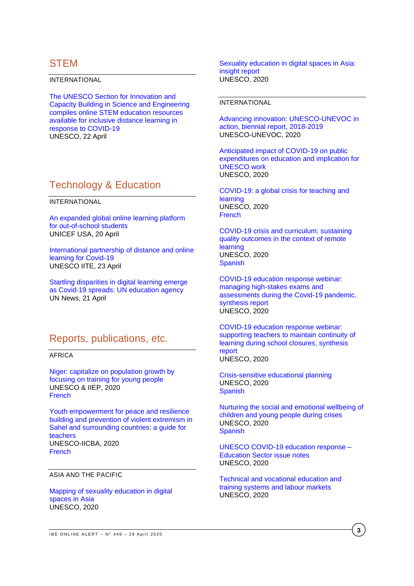### **STEM**

INTERNATIONAL

[The UNESCO Section for Innovation and](https://en.unesco.org/news/unesco-section-innovation-and-capacity-building-science-and-engineering-compiles-online-stem)  [Capacity Building in Science and Engineering](https://en.unesco.org/news/unesco-section-innovation-and-capacity-building-science-and-engineering-compiles-online-stem)  [compiles online STEM education resources](https://en.unesco.org/news/unesco-section-innovation-and-capacity-building-science-and-engineering-compiles-online-stem)  [available for inclusive distance learning in](https://en.unesco.org/news/unesco-section-innovation-and-capacity-building-science-and-engineering-compiles-online-stem)  [response to COVID-19](https://en.unesco.org/news/unesco-section-innovation-and-capacity-building-science-and-engineering-compiles-online-stem) UNESCO, 22 April

### Technology & Education

INTERNATIONAL

[An expanded global online learning platform](https://www.unicefusa.org/stories/expanded-global-online-learning-platform-out-school-students/37213)  [for out-of-school students](https://www.unicefusa.org/stories/expanded-global-online-learning-platform-out-school-students/37213) UNICEF USA, 20 April

[International partnership of distance and online](https://iite.unesco.org/news/international-partnership-of-distance-and-online-learning-for-covid-19/)  [learning for Covid-19](https://iite.unesco.org/news/international-partnership-of-distance-and-online-learning-for-covid-19/) UNESCO IITE, 23 April

[Startling disparities in digital learning emerge](https://news.un.org/en/story/2020/04/1062232)  [as Covid-19 spreads: UN education agency](https://news.un.org/en/story/2020/04/1062232) UN News, 21 April

### Reports, publications, etc.

AFRICA

[Niger: capitalize on population growth by](https://unesdoc.unesco.org/ark:/48223/pf0000373282?posInSet=7&queryId=N-4498186a-954f-4fc3-a8a4-d7cfe3f2a8a2)  [focusing on training for young people](https://unesdoc.unesco.org/ark:/48223/pf0000373282?posInSet=7&queryId=N-4498186a-954f-4fc3-a8a4-d7cfe3f2a8a2) UNESCO & IIEP, 2020 **[French](https://unesdoc.unesco.org/ark:/48223/pf0000373282_fre?posInSet=6&queryId=N-4498186a-954f-4fc3-a8a4-d7cfe3f2a8a2)** 

[Youth empowerment for peace and resilience](https://unesdoc.unesco.org/ark:/48223/pf0000371537)  [building and prevention of violent extremism in](https://unesdoc.unesco.org/ark:/48223/pf0000371537)  [Sahel and surrounding countries: a guide for](https://unesdoc.unesco.org/ark:/48223/pf0000371537)  [teachers](https://unesdoc.unesco.org/ark:/48223/pf0000371537) UNESCO-IICBA, 2020 **[French](https://unesdoc.unesco.org/ark:/48223/pf0000371537_fre)** 

ASIA AND THE PACIFIC

[Mapping of sexuality education in digital](https://unesdoc.unesco.org/ark:/48223/pf0000373266?posInSet=28&queryId=N-4498186a-954f-4fc3-a8a4-d7cfe3f2a8a2)  [spaces in Asia](https://unesdoc.unesco.org/ark:/48223/pf0000373266?posInSet=28&queryId=N-4498186a-954f-4fc3-a8a4-d7cfe3f2a8a2) UNESCO, 2020

[Sexuality education in digital spaces in Asia:](https://unesdoc.unesco.org/ark:/48223/pf0000373267?posInSet=27&queryId=N-4498186a-954f-4fc3-a8a4-d7cfe3f2a8a2)  [insight report](https://unesdoc.unesco.org/ark:/48223/pf0000373267?posInSet=27&queryId=N-4498186a-954f-4fc3-a8a4-d7cfe3f2a8a2) UNESCO, 2020

### INTERNATIONAL

[Advancing innovation: UNESCO-UNEVOC in](https://unesdoc.unesco.org/ark:/48223/pf0000373255?posInSet=33&queryId=N-4498186a-954f-4fc3-a8a4-d7cfe3f2a8a2)  [action, biennial report, 2018-2019](https://unesdoc.unesco.org/ark:/48223/pf0000373255?posInSet=33&queryId=N-4498186a-954f-4fc3-a8a4-d7cfe3f2a8a2) UNESCO-UNEVOC, 2020

[Anticipated impact of COVID-19 on public](https://unesdoc.unesco.org/ark:/48223/pf0000373276?posInSet=17&queryId=N-4498186a-954f-4fc3-a8a4-d7cfe3f2a8a2)  [expenditures on education and implication for](https://unesdoc.unesco.org/ark:/48223/pf0000373276?posInSet=17&queryId=N-4498186a-954f-4fc3-a8a4-d7cfe3f2a8a2)  [UNESCO work](https://unesdoc.unesco.org/ark:/48223/pf0000373276?posInSet=17&queryId=N-4498186a-954f-4fc3-a8a4-d7cfe3f2a8a2) UNESCO, 2020

[COVID-19: a global crisis for teaching and](https://unesdoc.unesco.org/ark:/48223/pf0000373233?posInSet=45&queryId=N-4498186a-954f-4fc3-a8a4-d7cfe3f2a8a2)  [learning](https://unesdoc.unesco.org/ark:/48223/pf0000373233?posInSet=45&queryId=N-4498186a-954f-4fc3-a8a4-d7cfe3f2a8a2) UNESCO, 2020 [French](https://unesdoc.unesco.org/ark:/48223/pf0000373233_fre?posInSet=44&queryId=N-4498186a-954f-4fc3-a8a4-d7cfe3f2a8a2)

[COVID-19 crisis and curriculum: sustaining](https://unesdoc.unesco.org/ark:/48223/pf0000373273?posInSet=21&queryId=N-4498186a-954f-4fc3-a8a4-d7cfe3f2a8a2)  quality outcomes [in the context of remote](https://unesdoc.unesco.org/ark:/48223/pf0000373273?posInSet=21&queryId=N-4498186a-954f-4fc3-a8a4-d7cfe3f2a8a2)  [learning](https://unesdoc.unesco.org/ark:/48223/pf0000373273?posInSet=21&queryId=N-4498186a-954f-4fc3-a8a4-d7cfe3f2a8a2) UNESCO, 2020 **[Spanish](https://unesdoc.unesco.org/ark:/48223/pf0000373273_spa?posInSet=20&queryId=N-4498186a-954f-4fc3-a8a4-d7cfe3f2a8a2)** 

[COVID-19 education response webinar:](https://unesdoc.unesco.org/ark:/48223/pf0000373247?posInSet=43&queryId=N-4498186a-954f-4fc3-a8a4-d7cfe3f2a8a2)  [managing high-stakes exams and](https://unesdoc.unesco.org/ark:/48223/pf0000373247?posInSet=43&queryId=N-4498186a-954f-4fc3-a8a4-d7cfe3f2a8a2)  [assessments during the Covid-19 pandemic,](https://unesdoc.unesco.org/ark:/48223/pf0000373247?posInSet=43&queryId=N-4498186a-954f-4fc3-a8a4-d7cfe3f2a8a2)  [synthesis report](https://unesdoc.unesco.org/ark:/48223/pf0000373247?posInSet=43&queryId=N-4498186a-954f-4fc3-a8a4-d7cfe3f2a8a2) UNESCO, 2020

[COVID-19 education response webinar:](https://unesdoc.unesco.org/ark:/48223/pf0000373248?posInSet=42&queryId=N-4498186a-954f-4fc3-a8a4-d7cfe3f2a8a2)  [supporting teachers to maintain continuity of](https://unesdoc.unesco.org/ark:/48223/pf0000373248?posInSet=42&queryId=N-4498186a-954f-4fc3-a8a4-d7cfe3f2a8a2)  [learning during school closures, synthesis](https://unesdoc.unesco.org/ark:/48223/pf0000373248?posInSet=42&queryId=N-4498186a-954f-4fc3-a8a4-d7cfe3f2a8a2)  [report](https://unesdoc.unesco.org/ark:/48223/pf0000373248?posInSet=42&queryId=N-4498186a-954f-4fc3-a8a4-d7cfe3f2a8a2)

UNESCO, 2020

[Crisis-sensitive educational planning](https://unesdoc.unesco.org/ark:/48223/pf0000373272?posInSet=23&queryId=N-4498186a-954f-4fc3-a8a4-d7cfe3f2a8a2) UNESCO, 2020 [Spanish](https://unesdoc.unesco.org/ark:/48223/pf0000373272_spa?posInSet=22&queryId=N-4498186a-954f-4fc3-a8a4-d7cfe3f2a8a2)

[Nurturing the social and emotional wellbeing of](https://unesdoc.unesco.org/ark:/48223/pf0000373271?posInSet=25&queryId=N-4498186a-954f-4fc3-a8a4-d7cfe3f2a8a2)  [children and young people during crises](https://unesdoc.unesco.org/ark:/48223/pf0000373271?posInSet=25&queryId=N-4498186a-954f-4fc3-a8a4-d7cfe3f2a8a2) UNESCO, 2020 **[Spanish](https://unesdoc.unesco.org/ark:/48223/pf0000373271_spa?posInSet=24&queryId=N-4498186a-954f-4fc3-a8a4-d7cfe3f2a8a2)** 

[UNESCO COVID-19 education response –](https://unesdoc.unesco.org/ark:/48223/pf0000373275?posInSet=18&queryId=N-4498186a-954f-4fc3-a8a4-d7cfe3f2a8a2) [Education Sector issue notes](https://unesdoc.unesco.org/ark:/48223/pf0000373275?posInSet=18&queryId=N-4498186a-954f-4fc3-a8a4-d7cfe3f2a8a2) UNESCO, 2020

[Technical and vocational education and](https://unesdoc.unesco.org/ark:/48223/pf0000373274?posInSet=19&queryId=N-4498186a-954f-4fc3-a8a4-d7cfe3f2a8a2)  training [systems and labour markets](https://unesdoc.unesco.org/ark:/48223/pf0000373274?posInSet=19&queryId=N-4498186a-954f-4fc3-a8a4-d7cfe3f2a8a2) UNESCO, 2020